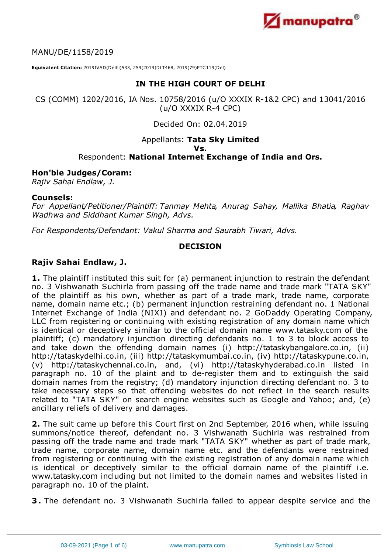

MANU/DE/1158/2019

**Equivalent Citation:** 2019IVAD(Delhi)533, 259(2019)DLT468, 2019(79)PTC119(Del)

# **IN THE HIGH COURT OF DELHI**

CS (COMM) 1202/2016, IA Nos. 10758/2016 (u/O XXXIX R-1&2 CPC) and 13041/2016 (u/O XXXIX R-4 CPC)

# Decided On: 02.04.2019

#### Appellants: **Tata Sky Limited Vs.** Respondent: **National Internet Exchange of India and Ors.**

#### **Hon'ble Judges/Coram:**

*Rajiv Sahai Endlaw, J.*

#### **Counsels:**

*For Appellant/Petitioner/Plaintiff: Tanmay Mehta, Anurag Sahay, Mallika Bhatia, Raghav Wadhwa and Siddhant Kumar Singh, Advs.*

*For Respondents/Defendant: Vakul Sharma and Saurabh Tiwari, Advs.*

## **DECISION**

## **Rajiv Sahai Endlaw, J.**

**1.** The plaintiff instituted this suit for (a) permanent injunction to restrain the defendant no. 3 Vishwanath Suchirla from passing off the trade name and trade mark "TATA SKY" of the plaintiff as his own, whether as part of a trade mark, trade name, corporate name, domain name etc.; (b) permanent injunction restraining defendant no. 1 National Internet Exchange of India (NIXI) and defendant no. 2 GoDaddy Operating Company, LLC from registering or continuing with existing registration of any domain name which is identical or deceptively similar to the official domain name www.tatasky.com of the plaintiff; (c) mandatory injunction directing defendants no. 1 to 3 to block access to and take down the offending domain names (i) http://tataskybangalore.co.in, (ii) http://tataskydelhi.co.in, (iii) http://tataskymumbai.co.in, (iv) http://tataskypune.co.in, (v) http://tataskychennai.co.in, and, (vi) http://tataskyhyderabad.co.in listed in paragraph no. 10 of the plaint and to de-register them and to extinguish the said domain names from the registry; (d) mandatory injunction directing defendant no. 3 to take necessary steps so that offending websites do not reflect in the search results related to "TATA SKY" on search engine websites such as Google and Yahoo; and, (e) ancillary reliefs of delivery and damages.

**2.** The suit came up before this Court first on 2nd September, 2016 when, while issuing summons/notice thereof, defendant no. 3 Vishwanath Suchirla was restrained from passing off the trade name and trade mark "TATA SKY" whether as part of trade mark, trade name, corporate name, domain name etc. and the defendants were restrained from registering or continuing with the existing registration of any domain name which is identical or deceptively similar to the official domain name of the plaintiff i.e. www.tatasky.com including but not limited to the domain names and websites listed in paragraph no. 10 of the plaint.

**3 .** The defendant no. 3 Vishwanath Suchirla failed to appear despite service and the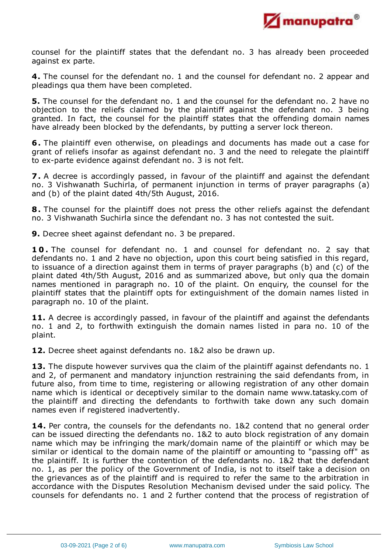

counsel for the plaintiff states that the defendant no. 3 has already been proceeded against ex parte.

**4.** The counsel for the defendant no. 1 and the counsel for defendant no. 2 appear and pleadings qua them have been completed.

**5.** The counsel for the defendant no. 1 and the counsel for the defendant no. 2 have no objection to the reliefs claimed by the plaintiff against the defendant no. 3 being granted. In fact, the counsel for the plaintiff states that the offending domain names have already been blocked by the defendants, by putting a server lock thereon.

**6.** The plaintiff even otherwise, on pleadings and documents has made out a case for grant of reliefs insofar as against defendant no. 3 and the need to relegate the plaintiff to ex-parte evidence against defendant no. 3 is not felt.

**7.** A decree is accordingly passed, in favour of the plaintiff and against the defendant no. 3 Vishwanath Suchirla, of permanent injunction in terms of prayer paragraphs (a) and (b) of the plaint dated 4th/5th August, 2016.

**8.** The counsel for the plaintiff does not press the other reliefs against the defendant no. 3 Vishwanath Suchirla since the defendant no. 3 has not contested the suit.

**9.** Decree sheet against defendant no. 3 be prepared.

**1 0 .** The counsel for defendant no. 1 and counsel for defendant no. 2 say that defendants no. 1 and 2 have no objection, upon this court being satisfied in this regard, to issuance of a direction against them in terms of prayer paragraphs (b) and (c) of the plaint dated 4th/5th August, 2016 and as summarized above, but only qua the domain names mentioned in paragraph no. 10 of the plaint. On enquiry, the counsel for the plaintiff states that the plaintiff opts for extinguishment of the domain names listed in paragraph no. 10 of the plaint.

11. A decree is accordingly passed, in favour of the plaintiff and against the defendants no. 1 and 2, to forthwith extinguish the domain names listed in para no. 10 of the plaint.

**12.** Decree sheet against defendants no. 1&2 also be drawn up.

13. The dispute however survives qua the claim of the plaintiff against defendants no. 1 and 2, of permanent and mandatory injunction restraining the said defendants from, in future also, from time to time, registering or allowing registration of any other domain name which is identical or deceptively similar to the domain name www.tatasky.com of the plaintiff and directing the defendants to forthwith take down any such domain names even if registered inadvertently.

**14.** Per contra, the counsels for the defendants no. 1&2 contend that no general order can be issued directing the defendants no. 1&2 to auto block registration of any domain name which may be infringing the mark/domain name of the plaintiff or which may be similar or identical to the domain name of the plaintiff or amounting to "passing off" as the plaintiff. It is further the contention of the defendants no. 1&2 that the defendant no. 1, as per the policy of the Government of India, is not to itself take a decision on the grievances as of the plaintiff and is required to refer the same to the arbitration in accordance with the Disputes Resolution Mechanism devised under the said policy. The counsels for defendants no. 1 and 2 further contend that the process of registration of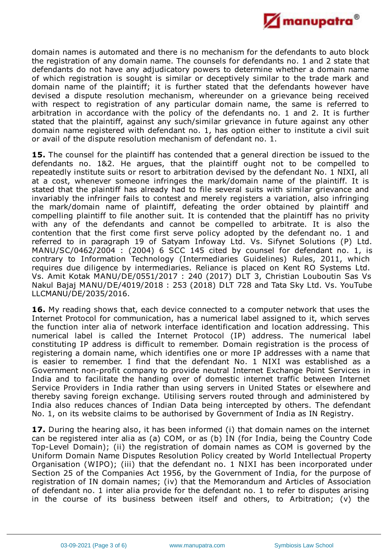

domain names is automated and there is no mechanism for the defendants to auto block the registration of any domain name. The counsels for defendants no. 1 and 2 state that defendants do not have any adjudicatory powers to determine whether a domain name of which registration is sought is similar or deceptively similar to the trade mark and domain name of the plaintiff; it is further stated that the defendants however have devised a dispute resolution mechanism, whereunder on a grievance being received with respect to registration of any particular domain name, the same is referred to arbitration in accordance with the policy of the defendants no. 1 and 2. It is further stated that the plaintiff, against any such/similar grievance in future against any other domain name registered with defendant no. 1, has option either to institute a civil suit or avail of the dispute resolution mechanism of defendant no. 1.

**15.** The counsel for the plaintiff has contended that a general direction be issued to the defendants no. 1&2. He argues, that the plaintiff ought not to be compelled to repeatedly institute suits or resort to arbitration devised by the defendant No. 1 NIXI, all at a cost, whenever someone infringes the mark/domain name of the plaintiff. It is stated that the plaintiff has already had to file several suits with similar grievance and invariably the infringer fails to contest and merely registers a variation, also infringing the mark/domain name of plaintiff, defeating the order obtained by plaintiff and compelling plaintiff to file another suit. It is contended that the plaintiff has no privity with any of the defendants and cannot be compelled to arbitrate. It is also the contention that the first come first serve policy adopted by the defendant no. 1 and referred to in paragraph 19 of Satyam Infoway Ltd. Vs. Sifynet Solutions (P) Ltd. MANU/SC/0462/2004 : (2004) 6 SCC 145 cited by counsel for defendant no. 1, is contrary to Information Technology (Intermediaries Guidelines) Rules, 2011, which requires due diligence by intermediaries. Reliance is placed on Kent RO Systems Ltd. Vs. Amit Kotak MANU/DE/0551/2017 : 240 (2017) DLT 3, Christian Louboutin Sas Vs. Nakul Bajaj MANU/DE/4019/2018 : 253 (2018) DLT 728 and Tata Sky Ltd. Vs. YouTube LLCMANU/DE/2035/2016.

**16.** My reading shows that, each device connected to a computer network that uses the Internet Protocol for communication, has a numerical label assigned to it, which serves the function inter alia of network interface identification and location addressing. This numerical label is called the Internet Protocol (IP) address. The numerical label constituting IP address is difficult to remember. Domain registration is the process of registering a domain name, which identifies one or more IP addresses with a name that is easier to remember. I find that the defendant No. 1 NIXI was established as a Government non-profit company to provide neutral Internet Exchange Point Services in India and to facilitate the handing over of domestic internet traffic between Internet Service Providers in India rather than using servers in United States or elsewhere and thereby saving foreign exchange. Utilising servers routed through and administered by India also reduces chances of Indian Data being intercepted by others. The defendant No. 1, on its website claims to be authorised by Government of India as IN Registry.

**17.** During the hearing also, it has been informed (i) that domain names on the internet can be registered inter alia as (a) COM, or as (b) IN (for India, being the Country Code Top-Level Domain); (ii) the registration of domain names as COM is governed by the Uniform Domain Name Disputes Resolution Policy created by World Intellectual Property Organisation (WIPO); (iii) that the defendant no. 1 NIXI has been incorporated under Section 25 of the Companies Act 1956, by the Government of India, for the purpose of registration of IN domain names; (iv) that the Memorandum and Articles of Association of defendant no. 1 inter alia provide for the defendant no. 1 to refer to disputes arising in the course of its business between itself and others, to Arbitration; (v) the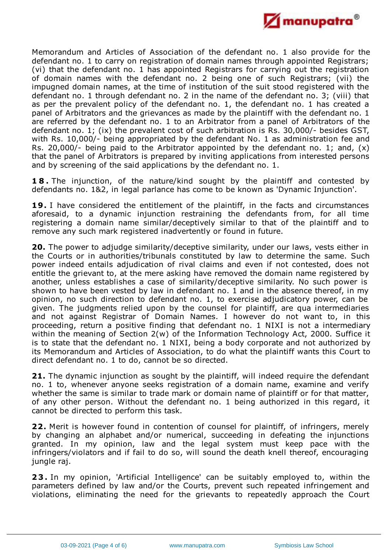

Memorandum and Articles of Association of the defendant no. 1 also provide for the defendant no. 1 to carry on registration of domain names through appointed Registrars; (vi) that the defendant no. 1 has appointed Registrars for carrying out the registration of domain names with the defendant no. 2 being one of such Registrars; (vii) the impugned domain names, at the time of institution of the suit stood registered with the defendant no. 1 through defendant no. 2 in the name of the defendant no. 3; (viii) that as per the prevalent policy of the defendant no. 1, the defendant no. 1 has created a panel of Arbitrators and the grievances as made by the plaintiff with the defendant no. 1 are referred by the defendant no. 1 to an Arbitrator from a panel of Arbitrators of the defendant no. 1; (ix) the prevalent cost of such arbitration is Rs. 30,000/- besides GST, with Rs. 10,000/- being appropriated by the defendant No. 1 as administration fee and Rs. 20,000/- being paid to the Arbitrator appointed by the defendant no. 1; and,  $(x)$ that the panel of Arbitrators is prepared by inviting applications from interested persons and by screening of the said applications by the defendant no. 1.

**1 8 .** The injunction, of the nature/kind sought by the plaintiff and contested by defendants no. 1&2, in legal parlance has come to be known as 'Dynamic Injunction'.

**19.** I have considered the entitlement of the plaintiff, in the facts and circumstances aforesaid, to a dynamic injunction restraining the defendants from, for all time registering a domain name similar/deceptively similar to that of the plaintiff and to remove any such mark registered inadvertently or found in future.

**20.** The power to adjudge similarity/deceptive similarity, under our laws, vests either in the Courts or in authorities/tribunals constituted by law to determine the same. Such power indeed entails adjudication of rival claims and even if not contested, does not entitle the grievant to, at the mere asking have removed the domain name registered by another, unless establishes a case of similarity/deceptive similarity. No such power is shown to have been vested by law in defendant no. 1 and in the absence thereof, in my opinion, no such direction to defendant no. 1, to exercise adjudicatory power, can be given. The judgments relied upon by the counsel for plaintiff, are qua intermediaries and not against Registrar of Domain Names. I however do not want to, in this proceeding, return a positive finding that defendant no. 1 NIXI is not a intermediary within the meaning of Section 2(w) of the Information Technology Act, 2000. Suffice it is to state that the defendant no. 1 NIXI, being a body corporate and not authorized by its Memorandum and Articles of Association, to do what the plaintiff wants this Court to direct defendant no. 1 to do, cannot be so directed.

**21.** The dynamic injunction as sought by the plaintiff, will indeed require the defendant no. 1 to, whenever anyone seeks registration of a domain name, examine and verify whether the same is similar to trade mark or domain name of plaintiff or for that matter, of any other person. Without the defendant no. 1 being authorized in this regard, it cannot be directed to perform this task.

**22.** Merit is however found in contention of counsel for plaintiff, of infringers, merely by changing an alphabet and/or numerical, succeeding in defeating the injunctions granted. In my opinion, law and the legal system must keep pace with the infringers/violators and if fail to do so, will sound the death knell thereof, encouraging jungle raj.

**23.** In my opinion, 'Artificial Intelligence' can be suitably employed to, within the parameters defined by law and/or the Courts, prevent such repeated infringement and violations, eliminating the need for the grievants to repeatedly approach the Court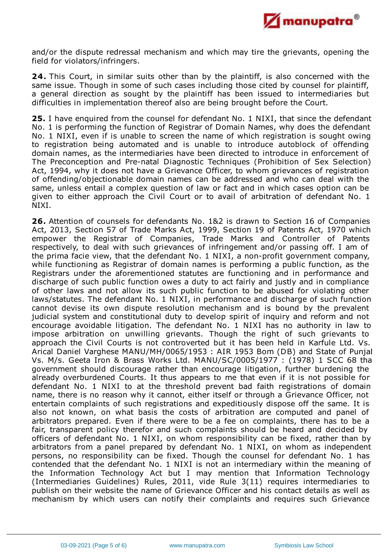

and/or the dispute redressal mechanism and which may tire the grievants, opening the field for violators/infringers.

**24.** This Court, in similar suits other than by the plaintiff, is also concerned with the same issue. Though in some of such cases including those cited by counsel for plaintiff, a general direction as sought by the plaintiff has been issued to intermediaries but difficulties in implementation thereof also are being brought before the Court.

**25.** I have enquired from the counsel for defendant No. 1 NIXI, that since the defendant No. 1 is performing the function of Registrar of Domain Names, why does the defendant No. 1 NIXI, even if is unable to screen the name of which registration is sought owing to registration being automated and is unable to introduce autoblock of offending domain names, as the intermediaries have been directed to introduce in enforcement of The Preconception and Pre-natal Diagnostic Techniques (Prohibition of Sex Selection) Act, 1994, why it does not have a Grievance Officer, to whom grievances of registration of offending/objectionable domain names can be addressed and who can deal with the same, unless entail a complex question of law or fact and in which cases option can be given to either approach the Civil Court or to avail of arbitration of defendant No. 1 NIXI.

**26.** Attention of counsels for defendants No. 1&2 is drawn to Section 16 of Companies Act, 2013, Section 57 of Trade Marks Act, 1999, Section 19 of Patents Act, 1970 which empower the Registrar of Companies, Trade Marks and Controller of Patents respectively, to deal with such grievances of infringement and/or passing off. I am of the prima facie view, that the defendant No. 1 NIXI, a non-profit government company, while functioning as Registrar of domain names is performing a public function, as the Registrars under the aforementioned statutes are functioning and in performance and discharge of such public function owes a duty to act fairly and justly and in compliance of other laws and not allow its such public function to be abused for violating other laws/statutes. The defendant No. 1 NIXI, in performance and discharge of such function cannot devise its own dispute resolution mechanism and is bound by the prevalent judicial system and constitutional duty to develop spirit of inquiry and reform and not encourage avoidable litigation. The defendant No. 1 NIXI has no authority in law to impose arbitration on unwilling grievants. Though the right of such grievants to approach the Civil Courts is not controverted but it has been held in Karfule Ltd. Vs. Arical Daniel Varghese MANU/MH/0065/1953 : AIR 1953 Bom (DB) and State of Punjab Vs. M/s. Geeta Iron & Brass Works Ltd. MANU/SC/0005/1977 : (1978) 1 SCC 68 that government should discourage rather than encourage litigation, further burdening the already overburdened Courts. It thus appears to me that even if it is not possible for defendant No. 1 NIXI to at the threshold prevent bad faith registrations of domain name, there is no reason why it cannot, either itself or through a Grievance Officer, not entertain complaints of such registrations and expeditiously dispose off the same. It is also not known, on what basis the costs of arbitration are computed and panel of arbitrators prepared. Even if there were to be a fee on complaints, there has to be a fair, transparent policy therefor and such complaints should be heard and decided by officers of defendant No. 1 NIXI, on whom responsibility can be fixed, rather than by arbitrators from a panel prepared by defendant No. 1 NIXI, on whom as independent persons, no responsibility can be fixed. Though the counsel for defendant No. 1 has contended that the defendant No. 1 NIXI is not an intermediary within the meaning of the Information Technology Act but I may mention that Information Technology (Intermediaries Guidelines) Rules, 2011, vide Rule 3(11) requires intermediaries to publish on their website the name of Grievance Officer and his contact details as well as mechanism by which users can notify their complaints and requires such Grievance